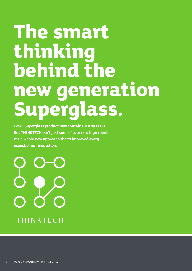## **The smart thinking behind the new generation Superglass.**

**Every Superglass product now contains THINKTECH. But THINKTECH isn't just some clever new ingredient. It's a whole new approach that's improved every aspect of our insulation.** 

**THINKTECH**